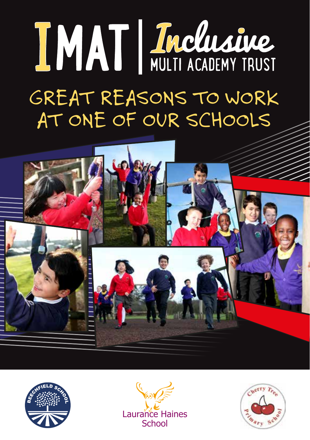# IMAT | Inclusive

# GREAT REASONS TO WORK AT ONE OF OUR SCHOOLS







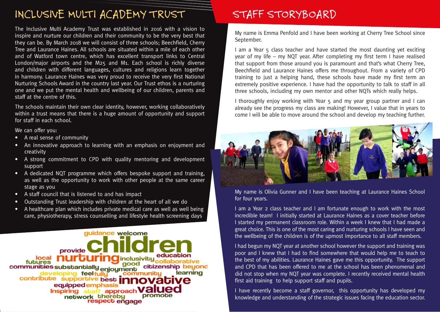## INCLUSIVE MULTI ACADEMY TRUST

The Inclusive Multi Academy Trust was established in 2016 with a vision to inspire and nurture our children and their community to be the very best that they can be. By March 2018 we will consist of three schools; Beechfield, Cherry Tree and Laurance Haines. All schools are situated within a mile of each other and of Watford town centre, which has excellent transport links to Central London/major airports and the M25 and M1. Each school is richly diverse and children with different languages, cultures and religions learn together in harmony. Laurance Haines was very proud to receive the very first National Nurturing Schools Award in the country last year. Our Trust ethos is a nurturing one and we put the mental health and wellbeing of our children, parents and staff at the centre of this.

The schools maintain their own clear identity, however, working collaboratively within a trust means that there is a huge amount of opportunity and support for staff in each school.

We can offer you:

- A real sense of community
- An innovative approach to learning with an emphasis on enjoyment and creativity
- A strong commitment to CPD with quality mentoring and development support
- A dedicated NQT programme which offers bespoke support and training, as well as the opportunity to work with other people at the same career stage as you
- A staff council that is listened to and has impact
- Outstanding Trust leadership with children at the heart of all we do
- A healthcare plan which includes private medical care as well as well being care, physiotherapy, stress counselling and lifestyle health screening days

guidance welcome provide **nd** inclusivity futures good communities substantially enjoyment citizenship beyond learning relopina feelfullu communi supportive best **innov** contribute equipped emphasis Inspiring staff approach Va promote network thereby respect engage

### STAFF STORYBOARD

My name is Emma Penfold and I have been working at Cherry Tree School since September.

I am a Year 5 class teacher and have started the most daunting yet exciting year of my life – my NQT year. After completing my first term I have realised that support from those around you is paramount and that's what Cherry Tree, Beechfield and Laurance Haines offers me throughout. From a variety of CPD training to just a helping hand, these schools have made my first term an extremely positive experience. I have had the opportunity to talk to staff in all three schools, including my own mentor and other NQTs which really helps.

I thoroughly enjoy working with Year 5 and my year group partner and I can already see the progress my class are making! However, I value that in years to come I will be able to move around the school and develop my teaching further.



My name is Olivia Gunner and I have been teaching at Laurance Haines School for four years.

I am a Year 2 class teacher and I am fortunate enough to work with the most incredible team! I initially started at Laurance Haines as a cover teacher before I started my permanent classroom role. Within a week I knew that I had made a great choice. This is one of the most caring and nurturing schools I have seen and the wellbeing of the children is of the upmost importance to all staff members.

I had begun my NQT year at another school however the support and training was poor and I knew that I had to find somewhere that would help me to teach to the best of my abilities. Laurance Haines gave me this opportunity. The support and CPD that has been offered to me at the school has been phenomenal and did not stop when my NQT year was complete. I recently received mental health first aid training to help support staff and pupils.

I have recently become a staff governor, this opportunity has developed my knowledge and understanding of the strategic issues facing the education sector.